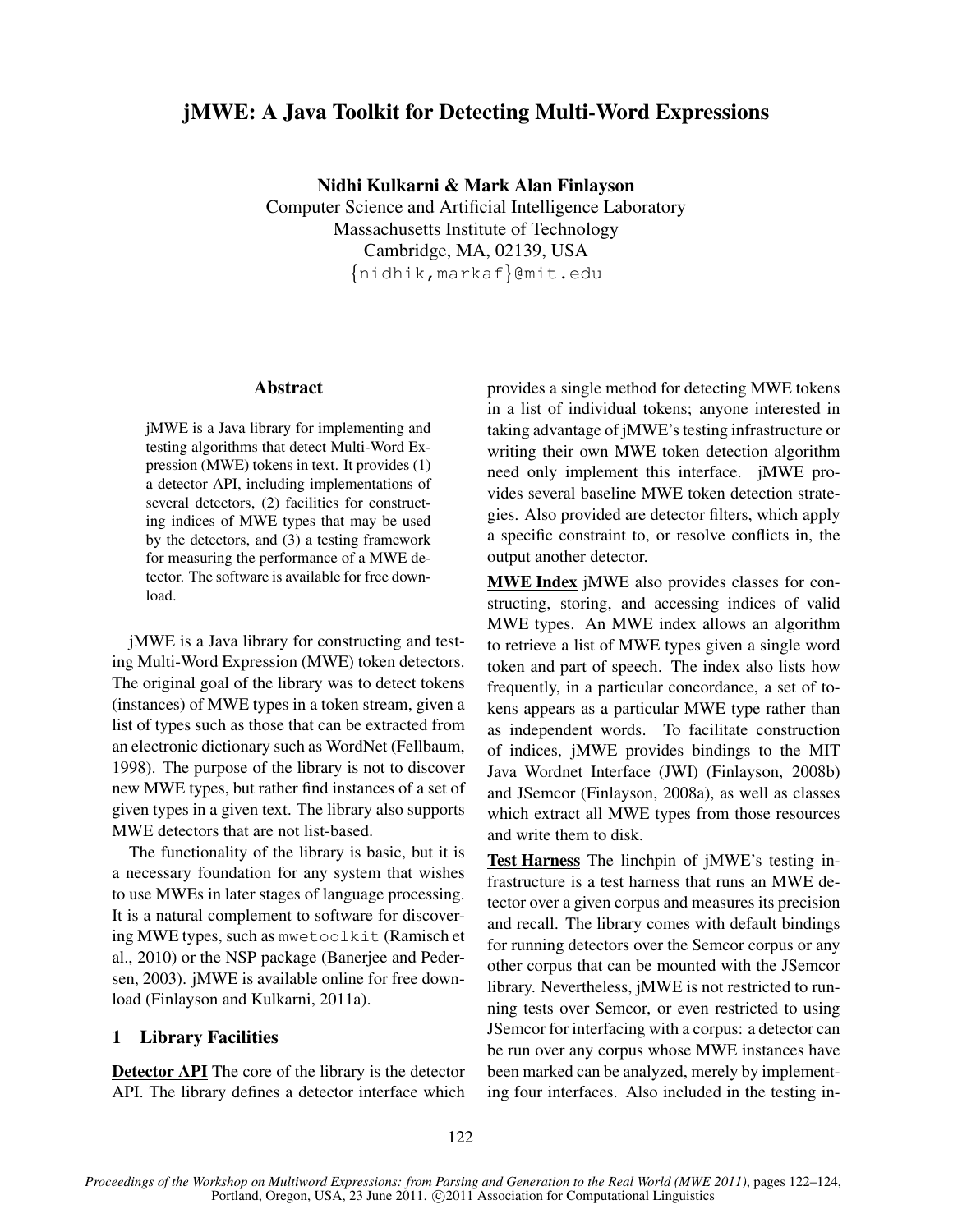# jMWE: A Java Toolkit for Detecting Multi-Word Expressions

Nidhi Kulkarni & Mark Alan Finlayson

Computer Science and Artificial Intelligence Laboratory Massachusetts Institute of Technology Cambridge, MA, 02139, USA {nidhik,markaf}@mit.edu

### Abstract

jMWE is a Java library for implementing and testing algorithms that detect Multi-Word Expression (MWE) tokens in text. It provides (1) a detector API, including implementations of several detectors, (2) facilities for constructing indices of MWE types that may be used by the detectors, and (3) a testing framework for measuring the performance of a MWE detector. The software is available for free download.

jMWE is a Java library for constructing and testing Multi-Word Expression (MWE) token detectors. The original goal of the library was to detect tokens (instances) of MWE types in a token stream, given a list of types such as those that can be extracted from an electronic dictionary such as WordNet (Fellbaum, 1998). The purpose of the library is not to discover new MWE types, but rather find instances of a set of given types in a given text. The library also supports MWE detectors that are not list-based.

The functionality of the library is basic, but it is a necessary foundation for any system that wishes to use MWEs in later stages of language processing. It is a natural complement to software for discovering MWE types, such as mwetoolkit (Ramisch et al., 2010) or the NSP package (Banerjee and Pedersen, 2003). jMWE is available online for free download (Finlayson and Kulkarni, 2011a).

## 1 Library Facilities

Detector API The core of the library is the detector API. The library defines a detector interface which provides a single method for detecting MWE tokens in a list of individual tokens; anyone interested in taking advantage of jMWE's testing infrastructure or writing their own MWE token detection algorithm need only implement this interface. jMWE provides several baseline MWE token detection strategies. Also provided are detector filters, which apply a specific constraint to, or resolve conflicts in, the output another detector.

MWE Index jMWE also provides classes for constructing, storing, and accessing indices of valid MWE types. An MWE index allows an algorithm to retrieve a list of MWE types given a single word token and part of speech. The index also lists how frequently, in a particular concordance, a set of tokens appears as a particular MWE type rather than as independent words. To facilitate construction of indices, jMWE provides bindings to the MIT Java Wordnet Interface (JWI) (Finlayson, 2008b) and JSemcor (Finlayson, 2008a), as well as classes which extract all MWE types from those resources and write them to disk.

Test Harness The linchpin of jMWE's testing infrastructure is a test harness that runs an MWE detector over a given corpus and measures its precision and recall. The library comes with default bindings for running detectors over the Semcor corpus or any other corpus that can be mounted with the JSemcor library. Nevertheless, jMWE is not restricted to running tests over Semcor, or even restricted to using JSemcor for interfacing with a corpus: a detector can be run over any corpus whose MWE instances have been marked can be analyzed, merely by implementing four interfaces. Also included in the testing in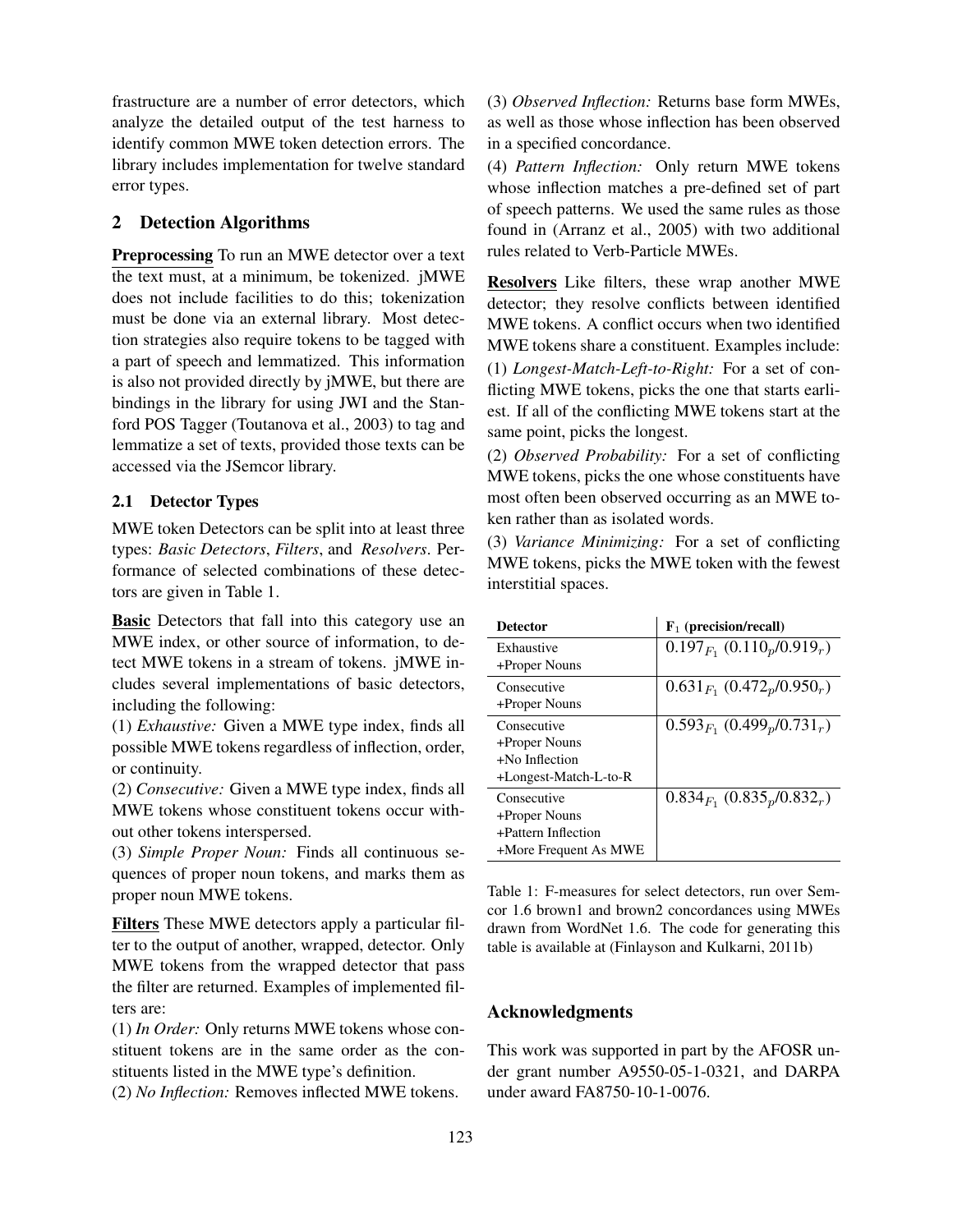frastructure are a number of error detectors, which analyze the detailed output of the test harness to identify common MWE token detection errors. The library includes implementation for twelve standard error types.

# 2 Detection Algorithms

Preprocessing To run an MWE detector over a text the text must, at a minimum, be tokenized. jMWE does not include facilities to do this; tokenization must be done via an external library. Most detection strategies also require tokens to be tagged with a part of speech and lemmatized. This information is also not provided directly by jMWE, but there are bindings in the library for using JWI and the Stanford POS Tagger (Toutanova et al., 2003) to tag and lemmatize a set of texts, provided those texts can be accessed via the JSemcor library.

#### 2.1 Detector Types

MWE token Detectors can be split into at least three types: *Basic Detectors*, *Filters*, and *Resolvers*. Performance of selected combinations of these detectors are given in Table 1.

**Basic** Detectors that fall into this category use an MWE index, or other source of information, to detect MWE tokens in a stream of tokens. jMWE includes several implementations of basic detectors, including the following:

(1) *Exhaustive:* Given a MWE type index, finds all possible MWE tokens regardless of inflection, order, or continuity.

(2) *Consecutive:* Given a MWE type index, finds all MWE tokens whose constituent tokens occur without other tokens interspersed.

(3) *Simple Proper Noun:* Finds all continuous sequences of proper noun tokens, and marks them as proper noun MWE tokens.

Filters These MWE detectors apply a particular filter to the output of another, wrapped, detector. Only MWE tokens from the wrapped detector that pass the filter are returned. Examples of implemented filters are:

(1) *In Order:* Only returns MWE tokens whose constituent tokens are in the same order as the constituents listed in the MWE type's definition.

(2) *No Inflection:* Removes inflected MWE tokens.

(3) *Observed Inflection:* Returns base form MWEs, as well as those whose inflection has been observed in a specified concordance.

(4) *Pattern Inflection:* Only return MWE tokens whose inflection matches a pre-defined set of part of speech patterns. We used the same rules as those found in (Arranz et al., 2005) with two additional rules related to Verb-Particle MWEs.

Resolvers Like filters, these wrap another MWE detector; they resolve conflicts between identified MWE tokens. A conflict occurs when two identified MWE tokens share a constituent. Examples include: (1) *Longest-Match-Left-to-Right:* For a set of conflicting MWE tokens, picks the one that starts earliest. If all of the conflicting MWE tokens start at the same point, picks the longest.

(2) *Observed Probability:* For a set of conflicting MWE tokens, picks the one whose constituents have most often been observed occurring as an MWE token rather than as isolated words.

(3) *Variance Minimizing:* For a set of conflicting MWE tokens, picks the MWE token with the fewest interstitial spaces.

| <b>Detector</b>       | $F_1$ (precision/recall)          |
|-----------------------|-----------------------------------|
| Exhaustive            | $0.197_{F_1}$ $(0.110_p/0.919_r)$ |
| +Proper Nouns         |                                   |
| Consecutive           | $0.631_{F_1} (0.472_p/0.950_r)$   |
| +Proper Nouns         |                                   |
| Consecutive           | $0.593_{F_1}$ $(0.499_p/0.731_r)$ |
| +Proper Nouns         |                                   |
| $+No$ Inflection      |                                   |
| +Longest-Match-L-to-R |                                   |
| Consecutive           | $0.834_{F_1} (0.835_p/0.832_r)$   |
| +Proper Nouns         |                                   |
| +Pattern Inflection   |                                   |
| +More Frequent As MWE |                                   |

Table 1: F-measures for select detectors, run over Semcor 1.6 brown1 and brown2 concordances using MWEs drawn from WordNet 1.6. The code for generating this table is available at (Finlayson and Kulkarni, 2011b)

### Acknowledgments

This work was supported in part by the AFOSR under grant number A9550-05-1-0321, and DARPA under award FA8750-10-1-0076.